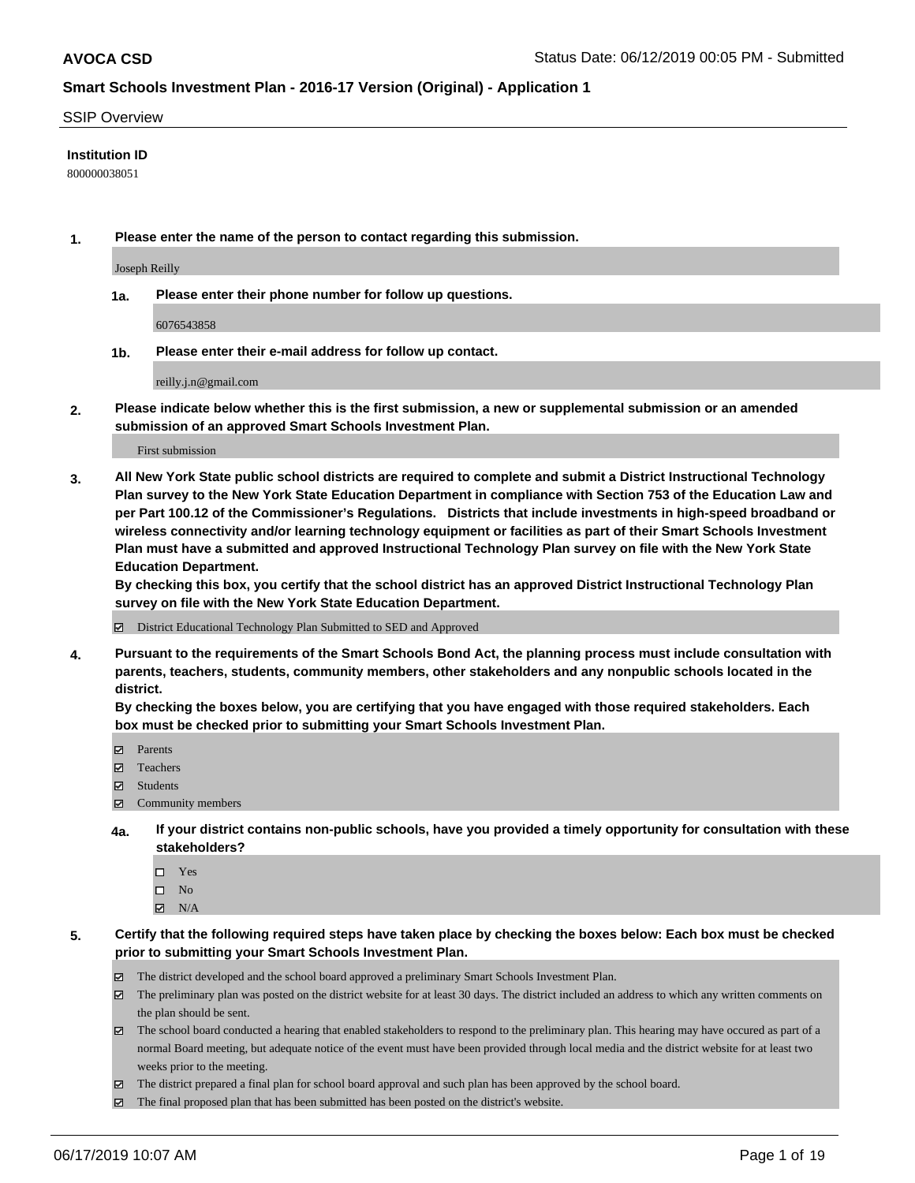### SSIP Overview

## **Institution ID**

800000038051

**1. Please enter the name of the person to contact regarding this submission.**

Joseph Reilly

**1a. Please enter their phone number for follow up questions.**

6076543858

**1b. Please enter their e-mail address for follow up contact.**

reilly.j.n@gmail.com

**2. Please indicate below whether this is the first submission, a new or supplemental submission or an amended submission of an approved Smart Schools Investment Plan.**

First submission

**3. All New York State public school districts are required to complete and submit a District Instructional Technology Plan survey to the New York State Education Department in compliance with Section 753 of the Education Law and per Part 100.12 of the Commissioner's Regulations. Districts that include investments in high-speed broadband or wireless connectivity and/or learning technology equipment or facilities as part of their Smart Schools Investment Plan must have a submitted and approved Instructional Technology Plan survey on file with the New York State Education Department.** 

**By checking this box, you certify that the school district has an approved District Instructional Technology Plan survey on file with the New York State Education Department.**

District Educational Technology Plan Submitted to SED and Approved

**4. Pursuant to the requirements of the Smart Schools Bond Act, the planning process must include consultation with parents, teachers, students, community members, other stakeholders and any nonpublic schools located in the district.** 

**By checking the boxes below, you are certifying that you have engaged with those required stakeholders. Each box must be checked prior to submitting your Smart Schools Investment Plan.**

- Parents
- Teachers
- Students
- Community members
- **4a. If your district contains non-public schools, have you provided a timely opportunity for consultation with these stakeholders?**
	- □ Yes
	- $\square$  No
	- $N/A$
- **5. Certify that the following required steps have taken place by checking the boxes below: Each box must be checked prior to submitting your Smart Schools Investment Plan.**
	- The district developed and the school board approved a preliminary Smart Schools Investment Plan.
	- $\boxtimes$  The preliminary plan was posted on the district website for at least 30 days. The district included an address to which any written comments on the plan should be sent.
	- The school board conducted a hearing that enabled stakeholders to respond to the preliminary plan. This hearing may have occured as part of a normal Board meeting, but adequate notice of the event must have been provided through local media and the district website for at least two weeks prior to the meeting.
	- The district prepared a final plan for school board approval and such plan has been approved by the school board.
	- $\boxtimes$  The final proposed plan that has been submitted has been posted on the district's website.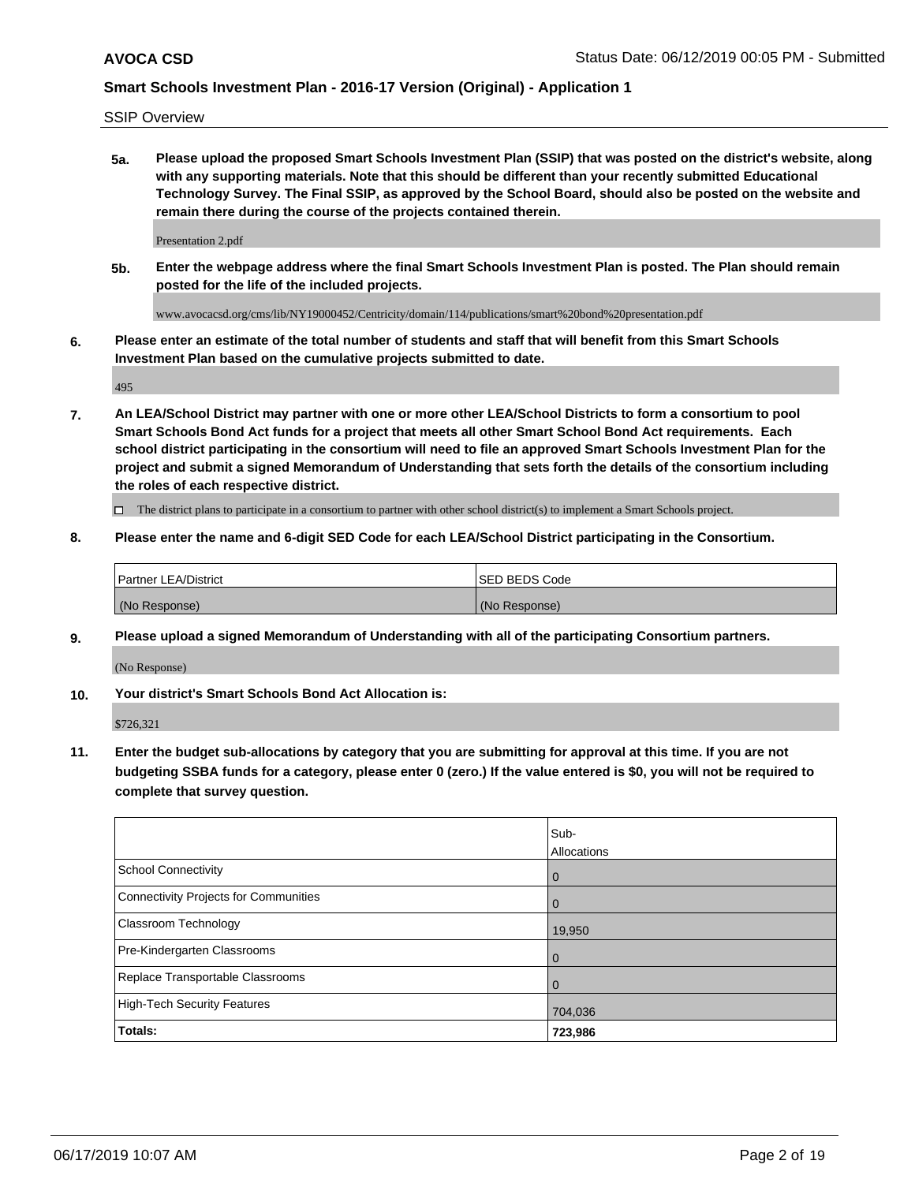SSIP Overview

**5a. Please upload the proposed Smart Schools Investment Plan (SSIP) that was posted on the district's website, along with any supporting materials. Note that this should be different than your recently submitted Educational Technology Survey. The Final SSIP, as approved by the School Board, should also be posted on the website and remain there during the course of the projects contained therein.**

Presentation 2.pdf

**5b. Enter the webpage address where the final Smart Schools Investment Plan is posted. The Plan should remain posted for the life of the included projects.**

www.avocacsd.org/cms/lib/NY19000452/Centricity/domain/114/publications/smart%20bond%20presentation.pdf

**6. Please enter an estimate of the total number of students and staff that will benefit from this Smart Schools Investment Plan based on the cumulative projects submitted to date.**

495

**7. An LEA/School District may partner with one or more other LEA/School Districts to form a consortium to pool Smart Schools Bond Act funds for a project that meets all other Smart School Bond Act requirements. Each school district participating in the consortium will need to file an approved Smart Schools Investment Plan for the project and submit a signed Memorandum of Understanding that sets forth the details of the consortium including the roles of each respective district.**

 $\Box$  The district plans to participate in a consortium to partner with other school district(s) to implement a Smart Schools project.

## **8. Please enter the name and 6-digit SED Code for each LEA/School District participating in the Consortium.**

| <b>Partner LEA/District</b> | <b>ISED BEDS Code</b> |
|-----------------------------|-----------------------|
| (No Response)               | (No Response)         |

#### **9. Please upload a signed Memorandum of Understanding with all of the participating Consortium partners.**

(No Response)

**10. Your district's Smart Schools Bond Act Allocation is:**

\$726,321

**11. Enter the budget sub-allocations by category that you are submitting for approval at this time. If you are not budgeting SSBA funds for a category, please enter 0 (zero.) If the value entered is \$0, you will not be required to complete that survey question.**

|                                       | Sub-<br>Allocations |
|---------------------------------------|---------------------|
| <b>School Connectivity</b>            | $\overline{0}$      |
| Connectivity Projects for Communities | $\overline{0}$      |
| <b>Classroom Technology</b>           | 19,950              |
| Pre-Kindergarten Classrooms           | $\mathbf 0$         |
| Replace Transportable Classrooms      | $\Omega$            |
| High-Tech Security Features           | 704,036             |
| Totals:                               | 723,986             |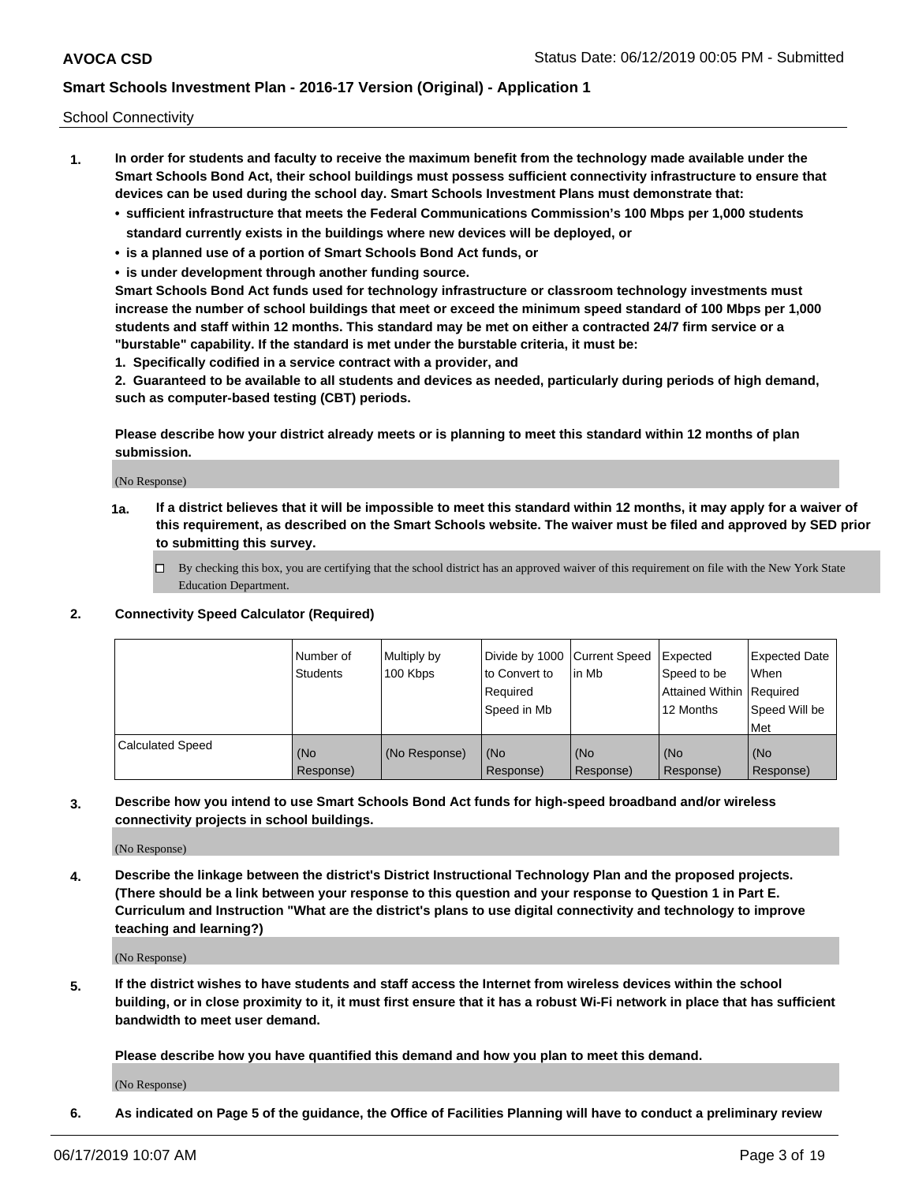School Connectivity

- **1. In order for students and faculty to receive the maximum benefit from the technology made available under the Smart Schools Bond Act, their school buildings must possess sufficient connectivity infrastructure to ensure that devices can be used during the school day. Smart Schools Investment Plans must demonstrate that:**
	- **• sufficient infrastructure that meets the Federal Communications Commission's 100 Mbps per 1,000 students standard currently exists in the buildings where new devices will be deployed, or**
	- **• is a planned use of a portion of Smart Schools Bond Act funds, or**
	- **• is under development through another funding source.**

**Smart Schools Bond Act funds used for technology infrastructure or classroom technology investments must increase the number of school buildings that meet or exceed the minimum speed standard of 100 Mbps per 1,000 students and staff within 12 months. This standard may be met on either a contracted 24/7 firm service or a "burstable" capability. If the standard is met under the burstable criteria, it must be:**

**1. Specifically codified in a service contract with a provider, and**

**2. Guaranteed to be available to all students and devices as needed, particularly during periods of high demand, such as computer-based testing (CBT) periods.**

**Please describe how your district already meets or is planning to meet this standard within 12 months of plan submission.**

(No Response)

**1a. If a district believes that it will be impossible to meet this standard within 12 months, it may apply for a waiver of this requirement, as described on the Smart Schools website. The waiver must be filed and approved by SED prior to submitting this survey.**

 $\Box$  By checking this box, you are certifying that the school district has an approved waiver of this requirement on file with the New York State Education Department.

**2. Connectivity Speed Calculator (Required)**

|                         | l Number of<br><b>Students</b> | Multiply by<br>100 Kbps | Divide by 1000 Current Speed<br>to Convert to<br>Required<br>Speed in Mb | lin Mb           | Expected<br>Speed to be<br>Attained Within   Required<br>12 Months | <b>Expected Date</b><br><b>When</b><br>Speed Will be<br><b>Met</b> |
|-------------------------|--------------------------------|-------------------------|--------------------------------------------------------------------------|------------------|--------------------------------------------------------------------|--------------------------------------------------------------------|
| <b>Calculated Speed</b> | (No<br>Response)               | (No Response)           | (No<br>Response)                                                         | (No<br>Response) | (No<br>Response)                                                   | (No<br>Response)                                                   |

**3. Describe how you intend to use Smart Schools Bond Act funds for high-speed broadband and/or wireless connectivity projects in school buildings.**

(No Response)

**4. Describe the linkage between the district's District Instructional Technology Plan and the proposed projects. (There should be a link between your response to this question and your response to Question 1 in Part E. Curriculum and Instruction "What are the district's plans to use digital connectivity and technology to improve teaching and learning?)**

(No Response)

**5. If the district wishes to have students and staff access the Internet from wireless devices within the school building, or in close proximity to it, it must first ensure that it has a robust Wi-Fi network in place that has sufficient bandwidth to meet user demand.**

**Please describe how you have quantified this demand and how you plan to meet this demand.**

(No Response)

**6. As indicated on Page 5 of the guidance, the Office of Facilities Planning will have to conduct a preliminary review**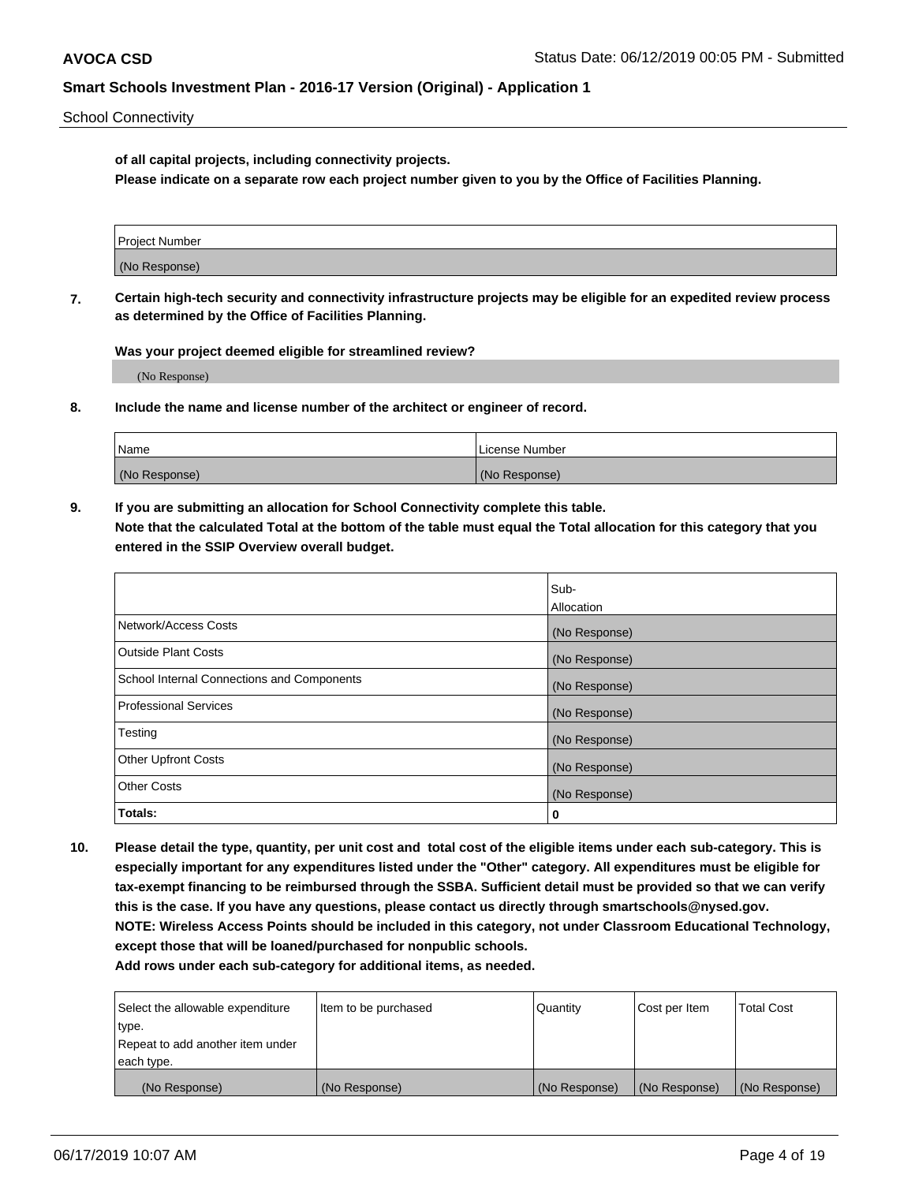School Connectivity

**of all capital projects, including connectivity projects.**

**Please indicate on a separate row each project number given to you by the Office of Facilities Planning.**

| Project Number |  |
|----------------|--|
|                |  |
| (No Response)  |  |
|                |  |

**7. Certain high-tech security and connectivity infrastructure projects may be eligible for an expedited review process as determined by the Office of Facilities Planning.**

**Was your project deemed eligible for streamlined review?**

(No Response)

**8. Include the name and license number of the architect or engineer of record.**

| Name          | License Number |
|---------------|----------------|
| (No Response) | (No Response)  |

**9. If you are submitting an allocation for School Connectivity complete this table. Note that the calculated Total at the bottom of the table must equal the Total allocation for this category that you entered in the SSIP Overview overall budget.** 

|                                            | Sub-              |
|--------------------------------------------|-------------------|
|                                            | <b>Allocation</b> |
| Network/Access Costs                       | (No Response)     |
| <b>Outside Plant Costs</b>                 | (No Response)     |
| School Internal Connections and Components | (No Response)     |
| <b>Professional Services</b>               | (No Response)     |
| Testing                                    | (No Response)     |
| <b>Other Upfront Costs</b>                 | (No Response)     |
| <b>Other Costs</b>                         | (No Response)     |
| Totals:                                    | 0                 |

**10. Please detail the type, quantity, per unit cost and total cost of the eligible items under each sub-category. This is especially important for any expenditures listed under the "Other" category. All expenditures must be eligible for tax-exempt financing to be reimbursed through the SSBA. Sufficient detail must be provided so that we can verify this is the case. If you have any questions, please contact us directly through smartschools@nysed.gov. NOTE: Wireless Access Points should be included in this category, not under Classroom Educational Technology, except those that will be loaned/purchased for nonpublic schools.**

| Select the allowable expenditure | Item to be purchased | Quantity      | <b>Cost per Item</b> | <b>Total Cost</b> |
|----------------------------------|----------------------|---------------|----------------------|-------------------|
| type.                            |                      |               |                      |                   |
| Repeat to add another item under |                      |               |                      |                   |
| each type.                       |                      |               |                      |                   |
| (No Response)                    | (No Response)        | (No Response) | (No Response)        | (No Response)     |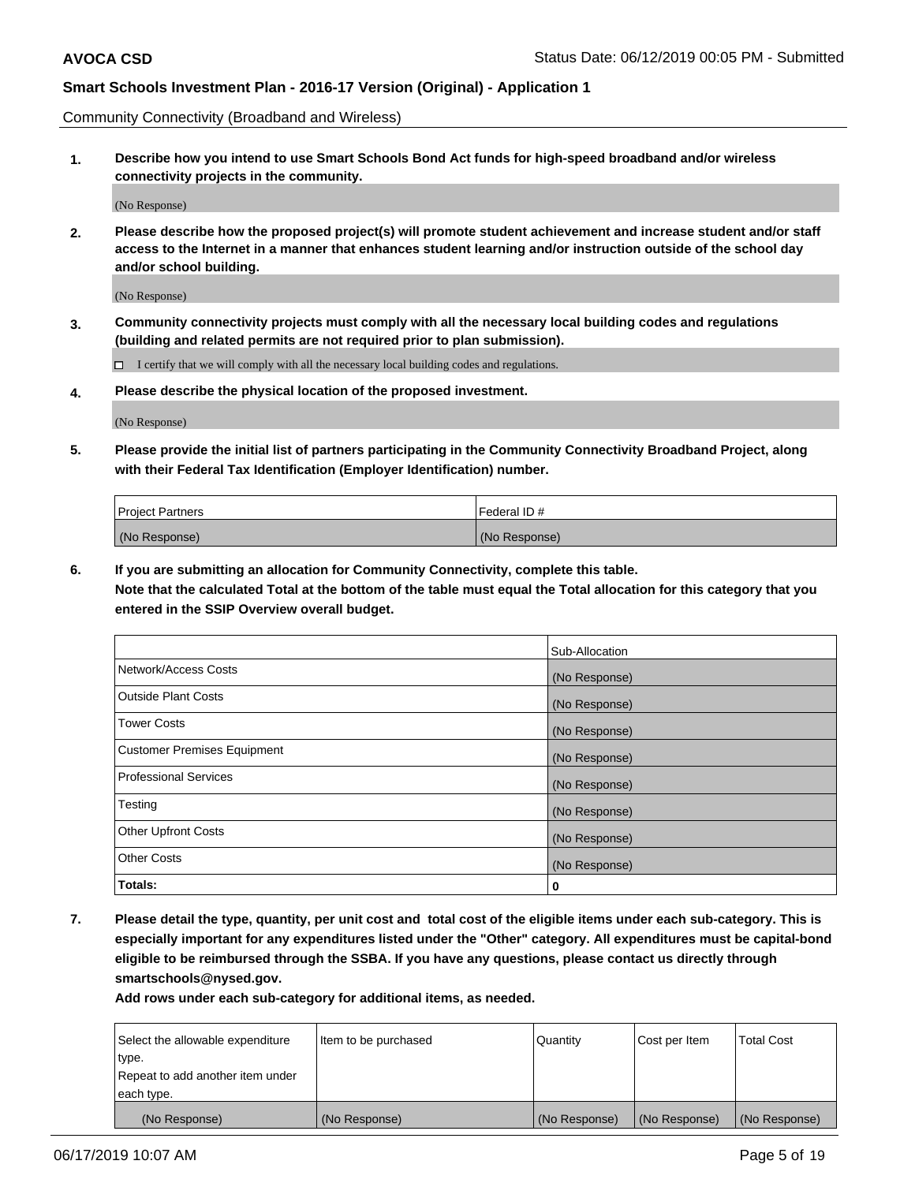Community Connectivity (Broadband and Wireless)

**1. Describe how you intend to use Smart Schools Bond Act funds for high-speed broadband and/or wireless connectivity projects in the community.**

(No Response)

**2. Please describe how the proposed project(s) will promote student achievement and increase student and/or staff access to the Internet in a manner that enhances student learning and/or instruction outside of the school day and/or school building.**

(No Response)

**3. Community connectivity projects must comply with all the necessary local building codes and regulations (building and related permits are not required prior to plan submission).**

 $\Box$  I certify that we will comply with all the necessary local building codes and regulations.

**4. Please describe the physical location of the proposed investment.**

(No Response)

**5. Please provide the initial list of partners participating in the Community Connectivity Broadband Project, along with their Federal Tax Identification (Employer Identification) number.**

| <b>Project Partners</b> | Federal ID#   |
|-------------------------|---------------|
| (No Response)           | (No Response) |

**6. If you are submitting an allocation for Community Connectivity, complete this table.**

**Note that the calculated Total at the bottom of the table must equal the Total allocation for this category that you entered in the SSIP Overview overall budget.**

|                                    | Sub-Allocation |
|------------------------------------|----------------|
| Network/Access Costs               | (No Response)  |
| <b>Outside Plant Costs</b>         | (No Response)  |
| <b>Tower Costs</b>                 | (No Response)  |
| <b>Customer Premises Equipment</b> | (No Response)  |
| <b>Professional Services</b>       | (No Response)  |
| Testing                            | (No Response)  |
| <b>Other Upfront Costs</b>         | (No Response)  |
| <b>Other Costs</b>                 | (No Response)  |
| Totals:                            | 0              |

**7. Please detail the type, quantity, per unit cost and total cost of the eligible items under each sub-category. This is especially important for any expenditures listed under the "Other" category. All expenditures must be capital-bond eligible to be reimbursed through the SSBA. If you have any questions, please contact us directly through smartschools@nysed.gov.**

| Select the allowable expenditure | Item to be purchased | l Quantitv    | Cost per Item | <b>Total Cost</b> |
|----------------------------------|----------------------|---------------|---------------|-------------------|
| type.                            |                      |               |               |                   |
| Repeat to add another item under |                      |               |               |                   |
| each type.                       |                      |               |               |                   |
| (No Response)                    | (No Response)        | (No Response) | (No Response) | (No Response)     |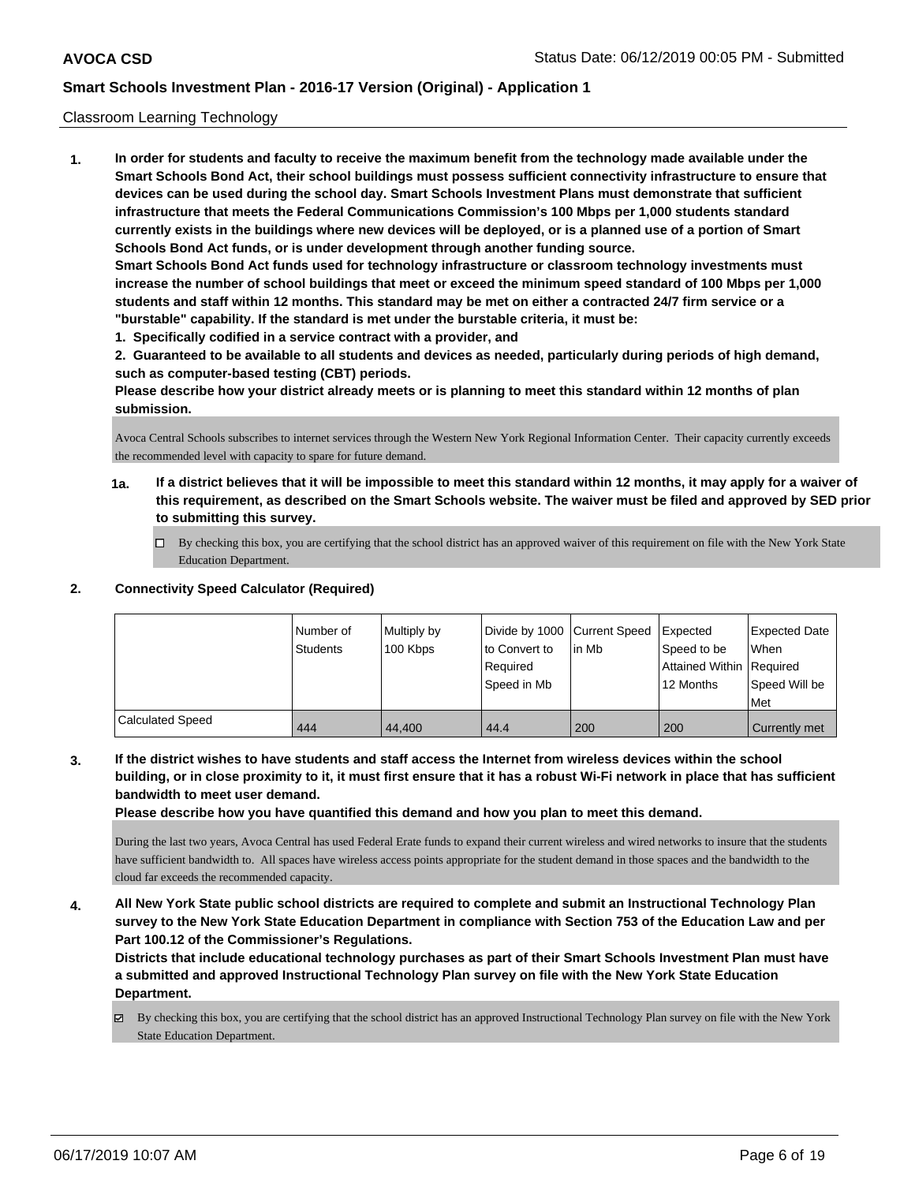## Classroom Learning Technology

**1. In order for students and faculty to receive the maximum benefit from the technology made available under the Smart Schools Bond Act, their school buildings must possess sufficient connectivity infrastructure to ensure that devices can be used during the school day. Smart Schools Investment Plans must demonstrate that sufficient infrastructure that meets the Federal Communications Commission's 100 Mbps per 1,000 students standard currently exists in the buildings where new devices will be deployed, or is a planned use of a portion of Smart Schools Bond Act funds, or is under development through another funding source. Smart Schools Bond Act funds used for technology infrastructure or classroom technology investments must increase the number of school buildings that meet or exceed the minimum speed standard of 100 Mbps per 1,000 students and staff within 12 months. This standard may be met on either a contracted 24/7 firm service or a "burstable" capability. If the standard is met under the burstable criteria, it must be:**

**1. Specifically codified in a service contract with a provider, and**

**2. Guaranteed to be available to all students and devices as needed, particularly during periods of high demand, such as computer-based testing (CBT) periods.**

**Please describe how your district already meets or is planning to meet this standard within 12 months of plan submission.**

Avoca Central Schools subscribes to internet services through the Western New York Regional Information Center. Their capacity currently exceeds the recommended level with capacity to spare for future demand.

- **1a. If a district believes that it will be impossible to meet this standard within 12 months, it may apply for a waiver of this requirement, as described on the Smart Schools website. The waiver must be filed and approved by SED prior to submitting this survey.**
	- By checking this box, you are certifying that the school district has an approved waiver of this requirement on file with the New York State Education Department.

## **2. Connectivity Speed Calculator (Required)**

|                         | Number of       | Multiply by | Divide by 1000 Current Speed |        | Expected                 | <b>Expected Date</b> |
|-------------------------|-----------------|-------------|------------------------------|--------|--------------------------|----------------------|
|                         | <b>Students</b> | 100 Kbps    | to Convert to                | lin Mb | Speed to be              | When                 |
|                         |                 |             | Required                     |        | Attained Within Required |                      |
|                         |                 |             | Speed in Mb                  |        | 12 Months                | Speed Will be        |
|                         |                 |             |                              |        |                          | Met                  |
| <b>Calculated Speed</b> | 444             | 44.400      | 44.4                         | 200    | 200                      | Currently met        |

**3. If the district wishes to have students and staff access the Internet from wireless devices within the school building, or in close proximity to it, it must first ensure that it has a robust Wi-Fi network in place that has sufficient bandwidth to meet user demand.**

**Please describe how you have quantified this demand and how you plan to meet this demand.**

During the last two years, Avoca Central has used Federal Erate funds to expand their current wireless and wired networks to insure that the students have sufficient bandwidth to. All spaces have wireless access points appropriate for the student demand in those spaces and the bandwidth to the cloud far exceeds the recommended capacity.

**4. All New York State public school districts are required to complete and submit an Instructional Technology Plan survey to the New York State Education Department in compliance with Section 753 of the Education Law and per Part 100.12 of the Commissioner's Regulations.**

**Districts that include educational technology purchases as part of their Smart Schools Investment Plan must have a submitted and approved Instructional Technology Plan survey on file with the New York State Education Department.**

By checking this box, you are certifying that the school district has an approved Instructional Technology Plan survey on file with the New York State Education Department.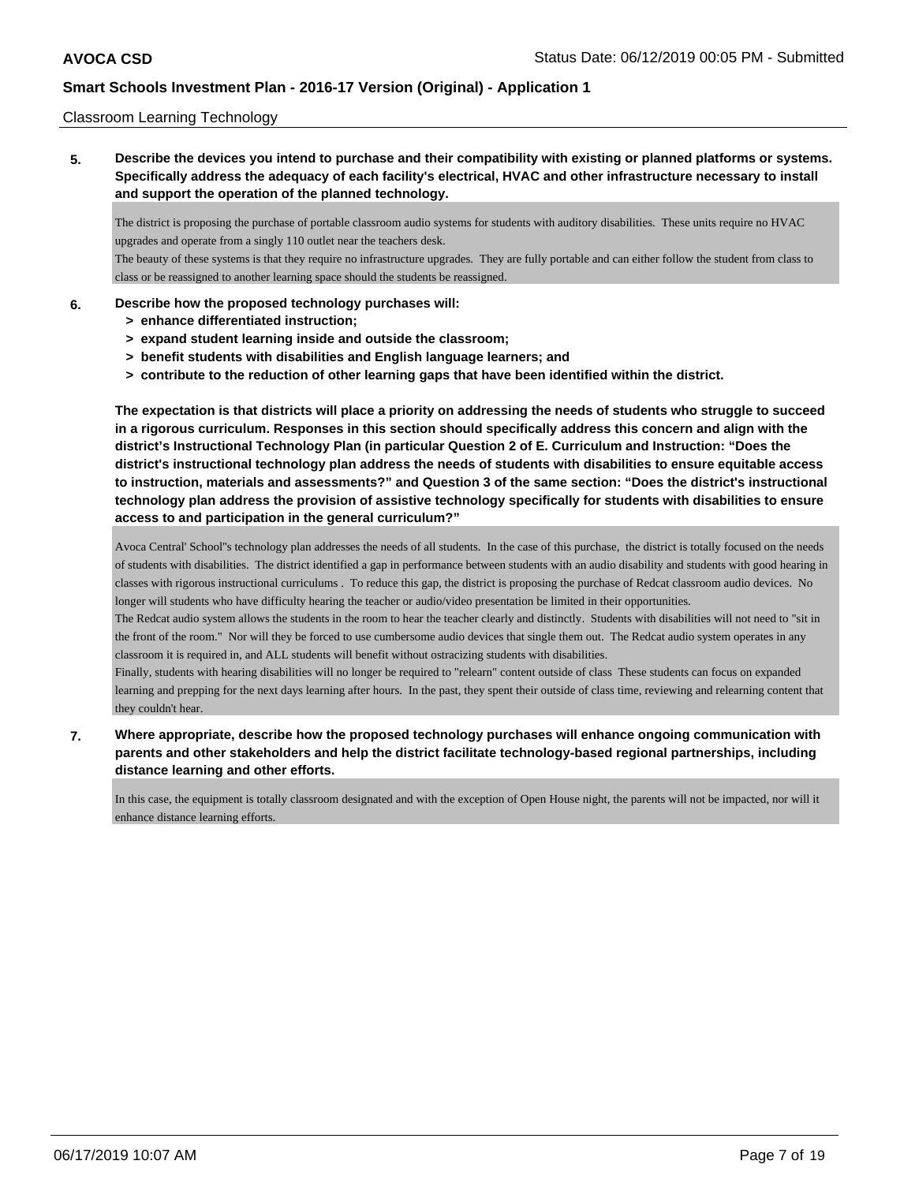## Classroom Learning Technology

**5. Describe the devices you intend to purchase and their compatibility with existing or planned platforms or systems. Specifically address the adequacy of each facility's electrical, HVAC and other infrastructure necessary to install and support the operation of the planned technology.**

The district is proposing the purchase of portable classroom audio systems for students with auditory disabilities. These units require no HVAC upgrades and operate from a singly 110 outlet near the teachers desk.

The beauty of these systems is that they require no infrastructure upgrades. They are fully portable and can either follow the student from class to class or be reassigned to another learning space should the students be reassigned.

## **6. Describe how the proposed technology purchases will:**

- **> enhance differentiated instruction;**
- **> expand student learning inside and outside the classroom;**
- **> benefit students with disabilities and English language learners; and**
- **> contribute to the reduction of other learning gaps that have been identified within the district.**

**The expectation is that districts will place a priority on addressing the needs of students who struggle to succeed in a rigorous curriculum. Responses in this section should specifically address this concern and align with the district's Instructional Technology Plan (in particular Question 2 of E. Curriculum and Instruction: "Does the district's instructional technology plan address the needs of students with disabilities to ensure equitable access to instruction, materials and assessments?" and Question 3 of the same section: "Does the district's instructional technology plan address the provision of assistive technology specifically for students with disabilities to ensure access to and participation in the general curriculum?"**

Avoca Central' School''s technology plan addresses the needs of all students. In the case of this purchase, the district is totally focused on the needs of students with disabilities. The district identified a gap in performance between students with an audio disability and students with good hearing in classes with rigorous instructional curriculums . To reduce this gap, the district is proposing the purchase of Redcat classroom audio devices. No longer will students who have difficulty hearing the teacher or audio/video presentation be limited in their opportunities.

The Redcat audio system allows the students in the room to hear the teacher clearly and distinctly. Students with disabilities will not need to "sit in the front of the room." Nor will they be forced to use cumbersome audio devices that single them out. The Redcat audio system operates in any classroom it is required in, and ALL students will benefit without ostracizing students with disabilities.

Finally, students with hearing disabilities will no longer be required to "relearn" content outside of class These students can focus on expanded learning and prepping for the next days learning after hours. In the past, they spent their outside of class time, reviewing and relearning content that they couldn't hear.

**7. Where appropriate, describe how the proposed technology purchases will enhance ongoing communication with parents and other stakeholders and help the district facilitate technology-based regional partnerships, including distance learning and other efforts.**

In this case, the equipment is totally classroom designated and with the exception of Open House night, the parents will not be impacted, nor will it enhance distance learning efforts.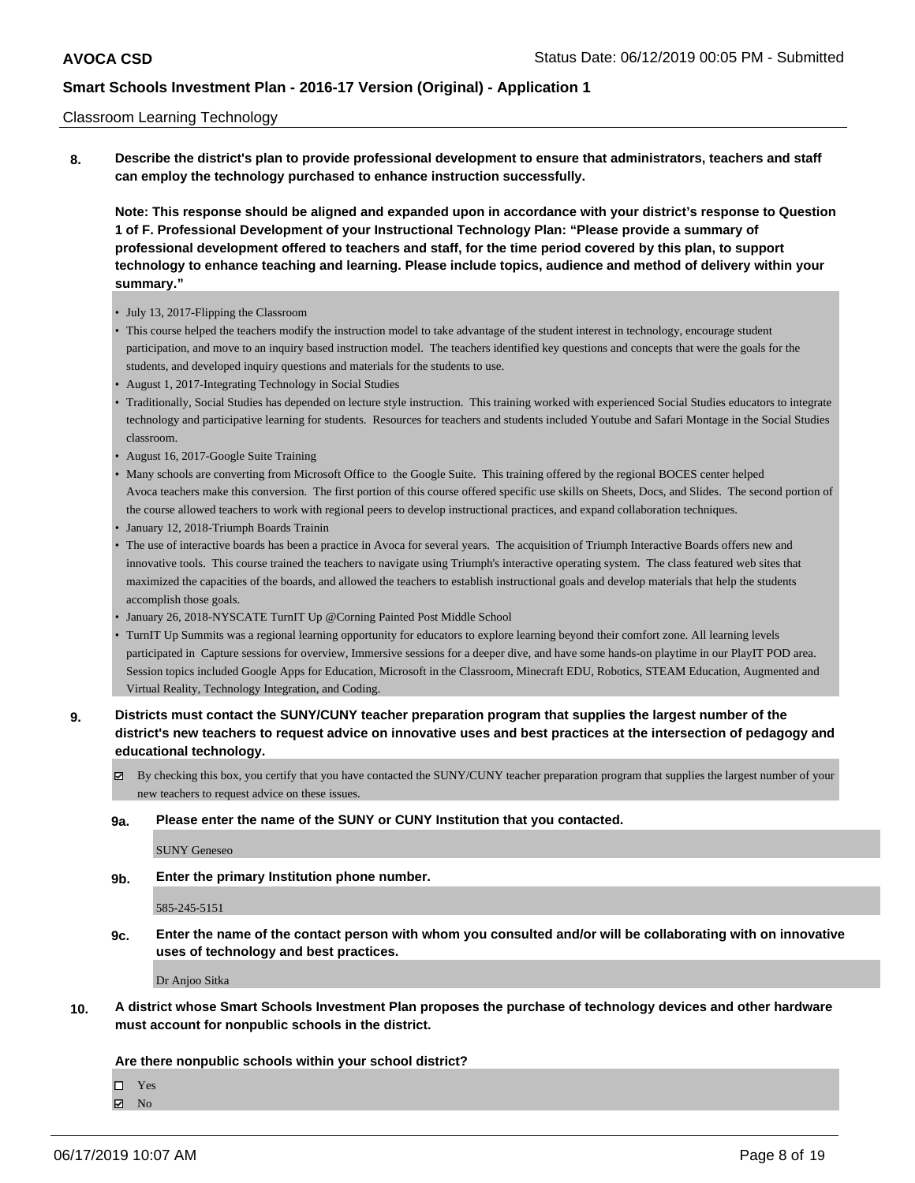### Classroom Learning Technology

**8. Describe the district's plan to provide professional development to ensure that administrators, teachers and staff can employ the technology purchased to enhance instruction successfully.**

**Note: This response should be aligned and expanded upon in accordance with your district's response to Question 1 of F. Professional Development of your Instructional Technology Plan: "Please provide a summary of professional development offered to teachers and staff, for the time period covered by this plan, to support technology to enhance teaching and learning. Please include topics, audience and method of delivery within your summary."**

- July 13, 2017-Flipping the Classroom
- This course helped the teachers modify the instruction model to take advantage of the student interest in technology, encourage student participation, and move to an inquiry based instruction model. The teachers identified key questions and concepts that were the goals for the students, and developed inquiry questions and materials for the students to use.
- August 1, 2017-Integrating Technology in Social Studies
- Traditionally, Social Studies has depended on lecture style instruction. This training worked with experienced Social Studies educators to integrate technology and participative learning for students. Resources for teachers and students included Youtube and Safari Montage in the Social Studies classroom.
- August 16, 2017-Google Suite Training
- Many schools are converting from Microsoft Office to the Google Suite. This training offered by the regional BOCES center helped Avoca teachers make this conversion. The first portion of this course offered specific use skills on Sheets, Docs, and Slides. The second portion of the course allowed teachers to work with regional peers to develop instructional practices, and expand collaboration techniques.
- January 12, 2018-Triumph Boards Trainin
- The use of interactive boards has been a practice in Avoca for several years. The acquisition of Triumph Interactive Boards offers new and innovative tools. This course trained the teachers to navigate using Triumph's interactive operating system. The class featured web sites that maximized the capacities of the boards, and allowed the teachers to establish instructional goals and develop materials that help the students accomplish those goals.
- January 26, 2018-NYSCATE TurnIT Up @Corning Painted Post Middle School
- TurnIT Up Summits was a regional learning opportunity for educators to explore learning beyond their comfort zone. All learning levels participated in Capture sessions for overview, Immersive sessions for a deeper dive, and have some hands-on playtime in our PlayIT POD area. Session topics included Google Apps for Education, Microsoft in the Classroom, Minecraft EDU, Robotics, STEAM Education, Augmented and Virtual Reality, Technology Integration, and Coding.
- **9. Districts must contact the SUNY/CUNY teacher preparation program that supplies the largest number of the district's new teachers to request advice on innovative uses and best practices at the intersection of pedagogy and educational technology.**
	- By checking this box, you certify that you have contacted the SUNY/CUNY teacher preparation program that supplies the largest number of your new teachers to request advice on these issues.
	- **9a. Please enter the name of the SUNY or CUNY Institution that you contacted.**

SUNY Geneseo

**9b. Enter the primary Institution phone number.**

585-245-5151

**9c. Enter the name of the contact person with whom you consulted and/or will be collaborating with on innovative uses of technology and best practices.**

Dr Anjoo Sitka

**10. A district whose Smart Schools Investment Plan proposes the purchase of technology devices and other hardware must account for nonpublic schools in the district.**

## **Are there nonpublic schools within your school district?**

□ Yes

**Z** No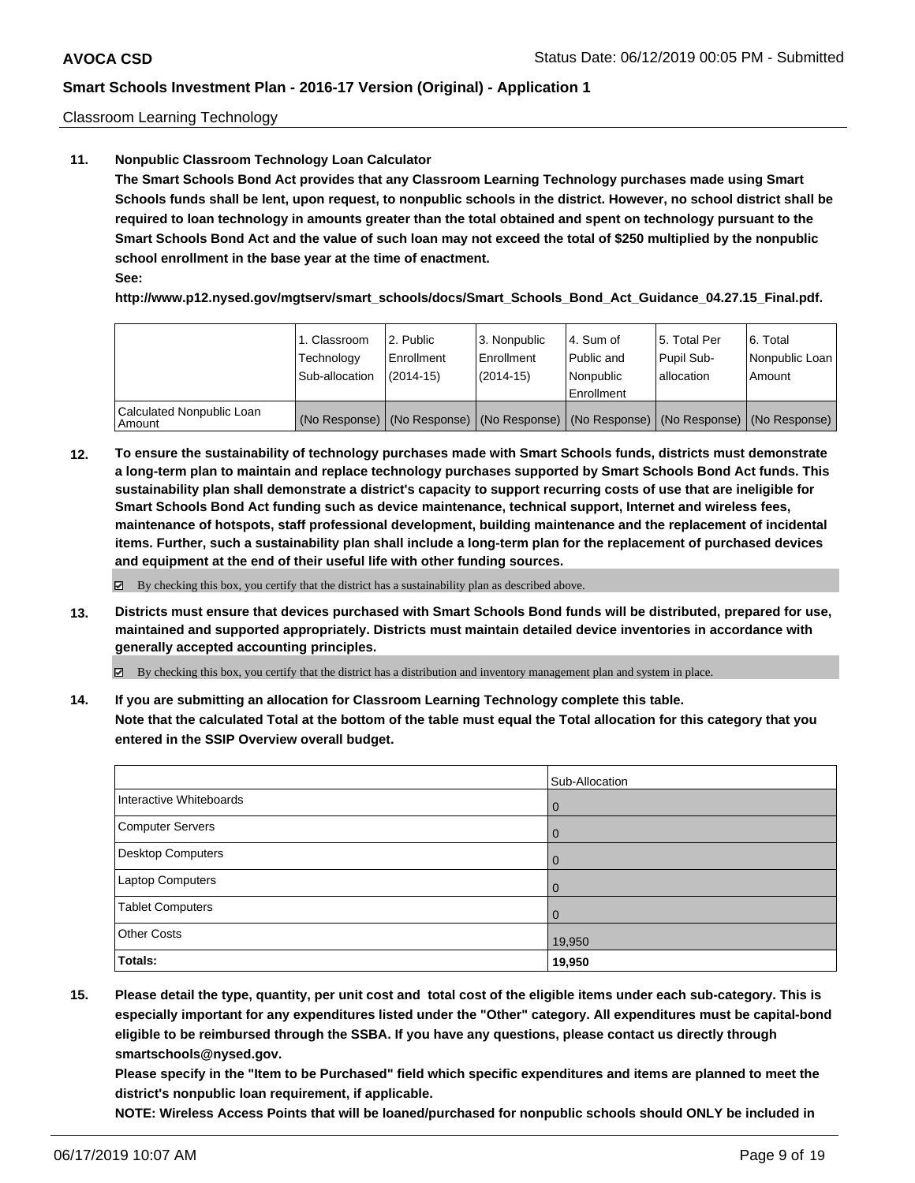Classroom Learning Technology

## **11. Nonpublic Classroom Technology Loan Calculator**

**The Smart Schools Bond Act provides that any Classroom Learning Technology purchases made using Smart Schools funds shall be lent, upon request, to nonpublic schools in the district. However, no school district shall be required to loan technology in amounts greater than the total obtained and spent on technology pursuant to the Smart Schools Bond Act and the value of such loan may not exceed the total of \$250 multiplied by the nonpublic school enrollment in the base year at the time of enactment. See:**

**http://www.p12.nysed.gov/mgtserv/smart\_schools/docs/Smart\_Schools\_Bond\_Act\_Guidance\_04.27.15\_Final.pdf.**

|                                     | 1. Classroom<br>Technology<br>Sub-allocation | l 2. Public<br>Enrollment<br>$(2014-15)$ | 3. Nonpublic<br>l Enrollment<br>$(2014-15)$ | l 4. Sum of<br>Public and<br>Nonpublic<br>Enrollment | l 5. Total Per<br>Pupil Sub-<br>lallocation | 6. Total<br>Nonpublic Loan<br>Amount                                                          |
|-------------------------------------|----------------------------------------------|------------------------------------------|---------------------------------------------|------------------------------------------------------|---------------------------------------------|-----------------------------------------------------------------------------------------------|
| Calculated Nonpublic Loan<br>Amount |                                              |                                          |                                             |                                                      |                                             | (No Response)   (No Response)   (No Response)   (No Response)   (No Response)   (No Response) |

**12. To ensure the sustainability of technology purchases made with Smart Schools funds, districts must demonstrate a long-term plan to maintain and replace technology purchases supported by Smart Schools Bond Act funds. This sustainability plan shall demonstrate a district's capacity to support recurring costs of use that are ineligible for Smart Schools Bond Act funding such as device maintenance, technical support, Internet and wireless fees, maintenance of hotspots, staff professional development, building maintenance and the replacement of incidental items. Further, such a sustainability plan shall include a long-term plan for the replacement of purchased devices and equipment at the end of their useful life with other funding sources.**

 $\boxtimes$  By checking this box, you certify that the district has a sustainability plan as described above.

**13. Districts must ensure that devices purchased with Smart Schools Bond funds will be distributed, prepared for use, maintained and supported appropriately. Districts must maintain detailed device inventories in accordance with generally accepted accounting principles.**

By checking this box, you certify that the district has a distribution and inventory management plan and system in place.

**14. If you are submitting an allocation for Classroom Learning Technology complete this table. Note that the calculated Total at the bottom of the table must equal the Total allocation for this category that you entered in the SSIP Overview overall budget.**

|                          | Sub-Allocation |
|--------------------------|----------------|
| Interactive Whiteboards  | $\left($       |
| <b>Computer Servers</b>  |                |
| <b>Desktop Computers</b> |                |
| Laptop Computers         | 0              |
| <b>Tablet Computers</b>  |                |
| <b>Other Costs</b>       | 19,950         |
| <b>Totals:</b>           | 19,950         |

**15. Please detail the type, quantity, per unit cost and total cost of the eligible items under each sub-category. This is especially important for any expenditures listed under the "Other" category. All expenditures must be capital-bond eligible to be reimbursed through the SSBA. If you have any questions, please contact us directly through smartschools@nysed.gov.**

**Please specify in the "Item to be Purchased" field which specific expenditures and items are planned to meet the district's nonpublic loan requirement, if applicable.**

**NOTE: Wireless Access Points that will be loaned/purchased for nonpublic schools should ONLY be included in**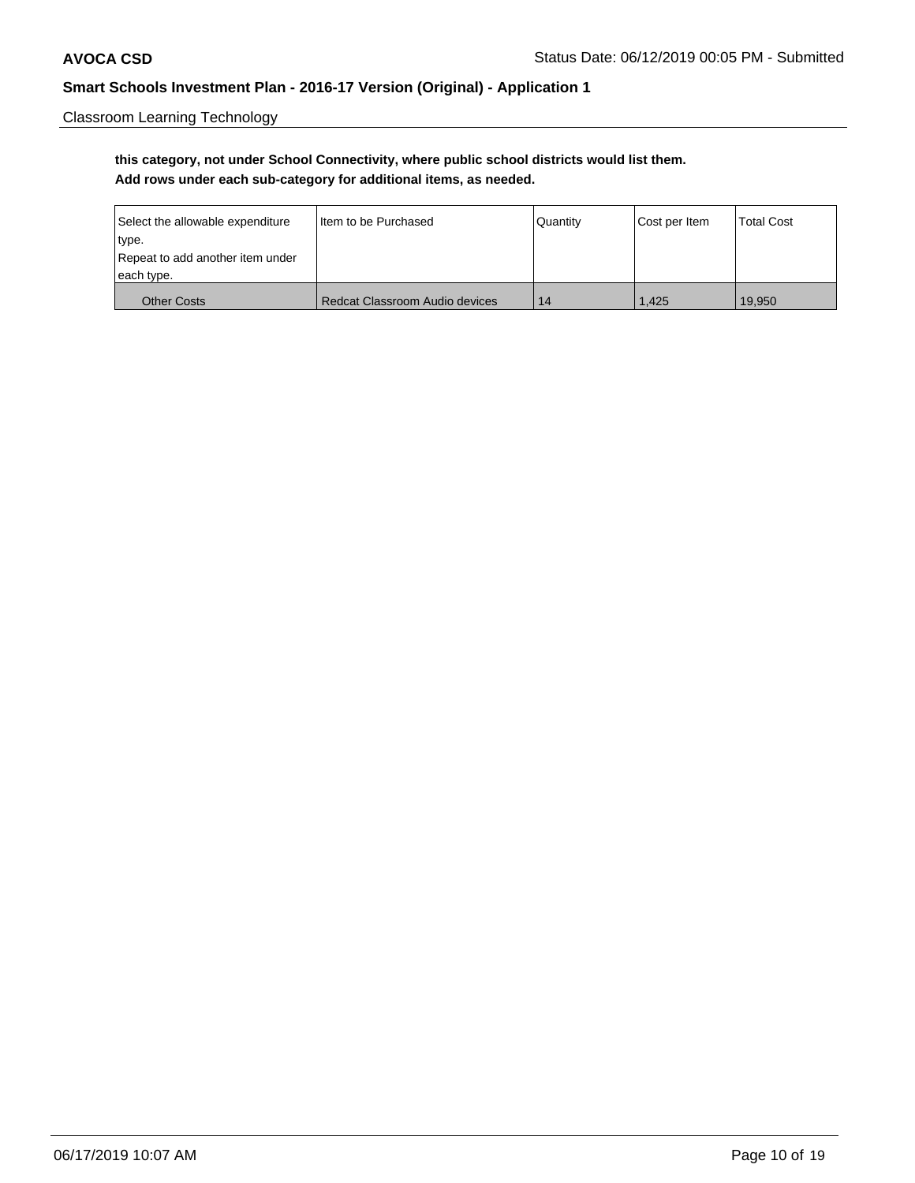Classroom Learning Technology

# **this category, not under School Connectivity, where public school districts would list them. Add rows under each sub-category for additional items, as needed.**

| Select the allowable expenditure | Iltem to be Purchased          | Quantity | Cost per Item | <b>Total Cost</b> |
|----------------------------------|--------------------------------|----------|---------------|-------------------|
| type.                            |                                |          |               |                   |
| Repeat to add another item under |                                |          |               |                   |
| each type.                       |                                |          |               |                   |
| <b>Other Costs</b>               | Redcat Classroom Audio devices | 14       | 1.425         | 19.950            |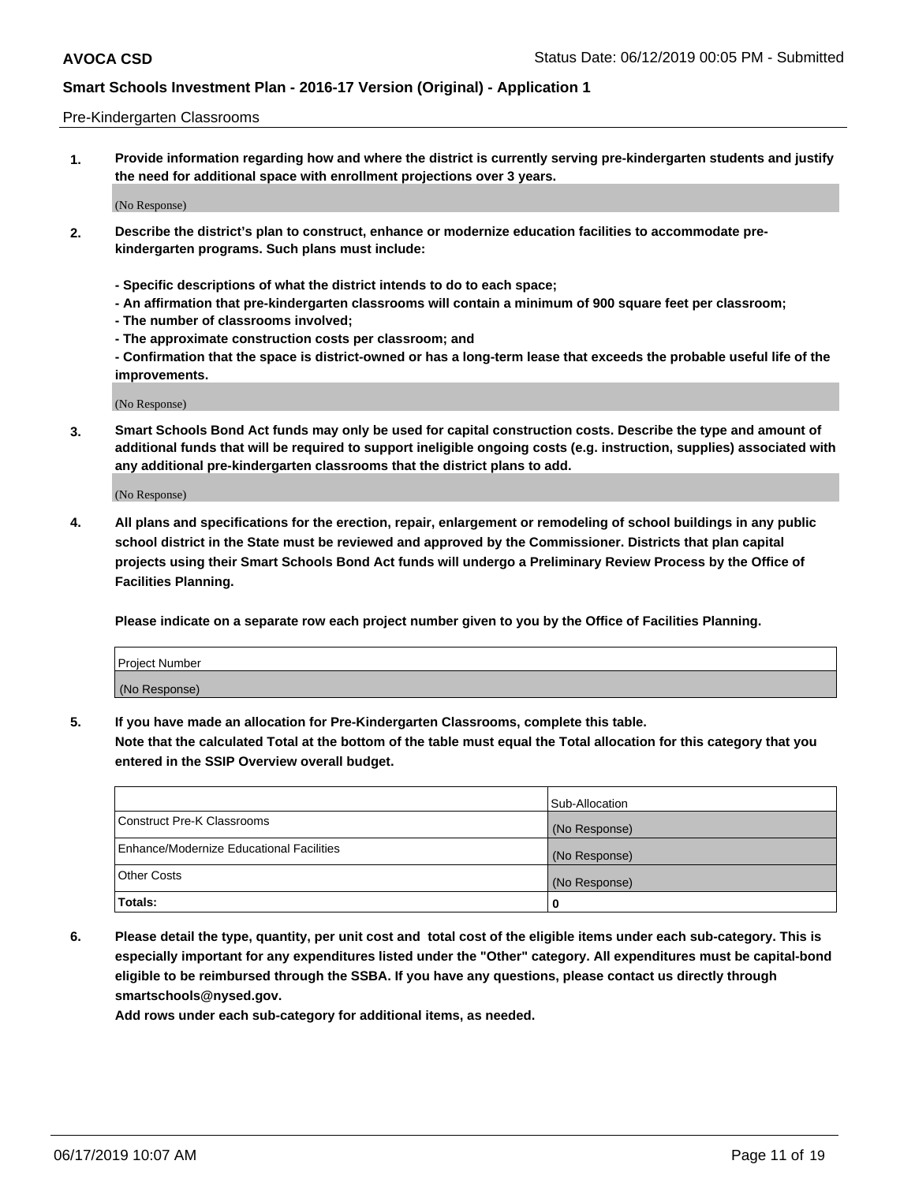### Pre-Kindergarten Classrooms

**1. Provide information regarding how and where the district is currently serving pre-kindergarten students and justify the need for additional space with enrollment projections over 3 years.**

(No Response)

- **2. Describe the district's plan to construct, enhance or modernize education facilities to accommodate prekindergarten programs. Such plans must include:**
	- **Specific descriptions of what the district intends to do to each space;**
	- **An affirmation that pre-kindergarten classrooms will contain a minimum of 900 square feet per classroom;**
	- **The number of classrooms involved;**
	- **The approximate construction costs per classroom; and**
	- **Confirmation that the space is district-owned or has a long-term lease that exceeds the probable useful life of the improvements.**

(No Response)

**3. Smart Schools Bond Act funds may only be used for capital construction costs. Describe the type and amount of additional funds that will be required to support ineligible ongoing costs (e.g. instruction, supplies) associated with any additional pre-kindergarten classrooms that the district plans to add.**

(No Response)

**4. All plans and specifications for the erection, repair, enlargement or remodeling of school buildings in any public school district in the State must be reviewed and approved by the Commissioner. Districts that plan capital projects using their Smart Schools Bond Act funds will undergo a Preliminary Review Process by the Office of Facilities Planning.**

**Please indicate on a separate row each project number given to you by the Office of Facilities Planning.**

| Project Number |  |
|----------------|--|
| (No Response)  |  |
|                |  |

**5. If you have made an allocation for Pre-Kindergarten Classrooms, complete this table.**

**Note that the calculated Total at the bottom of the table must equal the Total allocation for this category that you entered in the SSIP Overview overall budget.**

|                                          | Sub-Allocation |
|------------------------------------------|----------------|
| Construct Pre-K Classrooms               | (No Response)  |
| Enhance/Modernize Educational Facilities | (No Response)  |
| <b>Other Costs</b>                       | (No Response)  |
| Totals:                                  | 0              |

**6. Please detail the type, quantity, per unit cost and total cost of the eligible items under each sub-category. This is especially important for any expenditures listed under the "Other" category. All expenditures must be capital-bond eligible to be reimbursed through the SSBA. If you have any questions, please contact us directly through smartschools@nysed.gov.**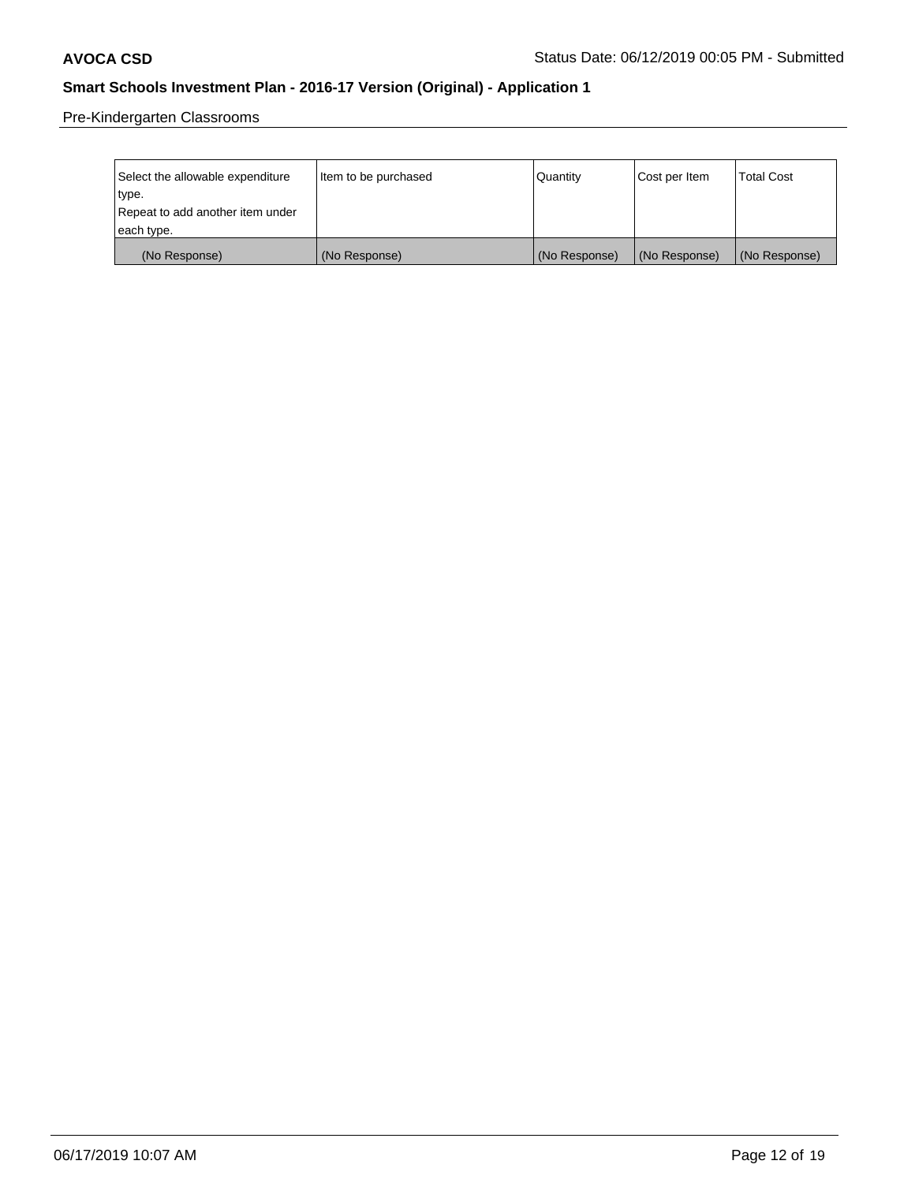Pre-Kindergarten Classrooms

| Select the allowable expenditure | Item to be purchased | Quantity      | Cost per Item | <b>Total Cost</b> |
|----------------------------------|----------------------|---------------|---------------|-------------------|
| type.                            |                      |               |               |                   |
| Repeat to add another item under |                      |               |               |                   |
| each type.                       |                      |               |               |                   |
| (No Response)                    | (No Response)        | (No Response) | (No Response) | (No Response)     |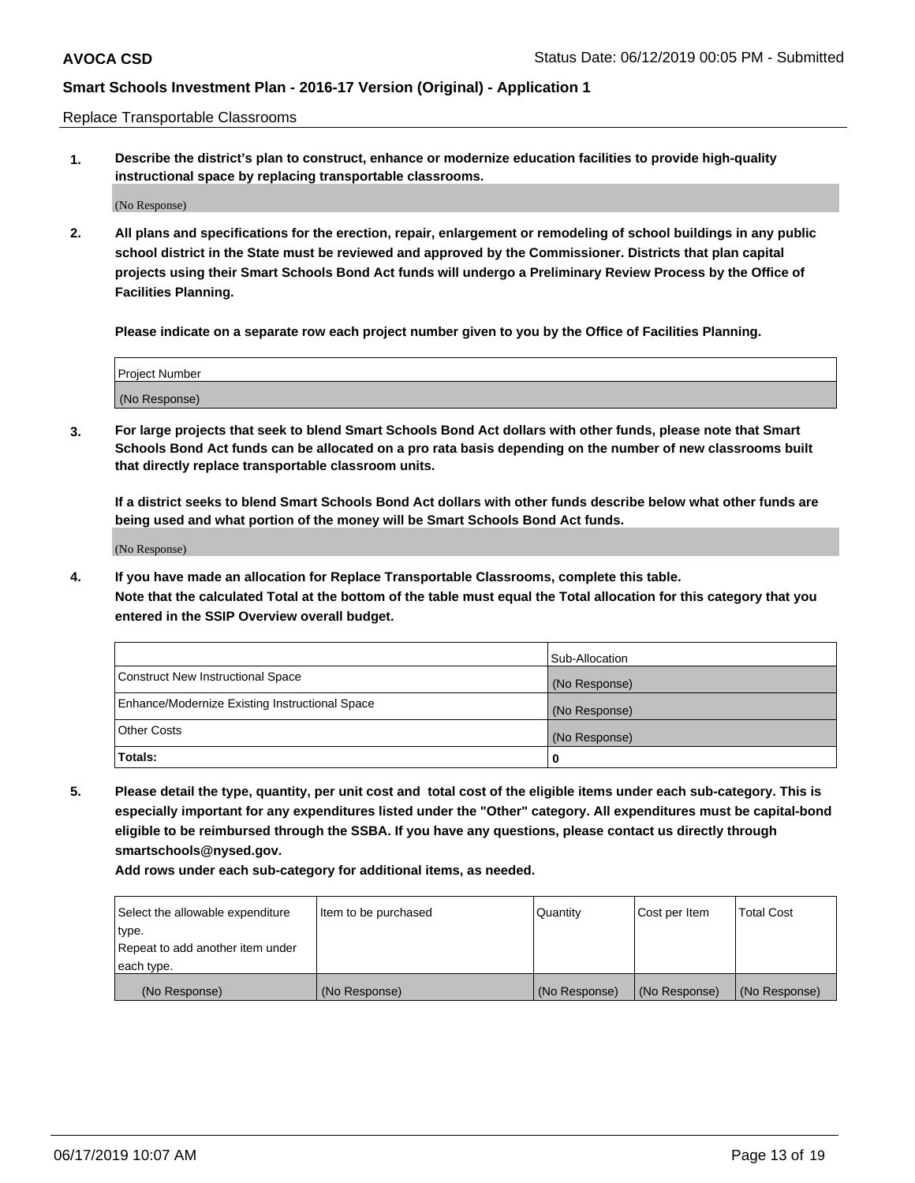Replace Transportable Classrooms

**1. Describe the district's plan to construct, enhance or modernize education facilities to provide high-quality instructional space by replacing transportable classrooms.**

(No Response)

**2. All plans and specifications for the erection, repair, enlargement or remodeling of school buildings in any public school district in the State must be reviewed and approved by the Commissioner. Districts that plan capital projects using their Smart Schools Bond Act funds will undergo a Preliminary Review Process by the Office of Facilities Planning.**

**Please indicate on a separate row each project number given to you by the Office of Facilities Planning.**

| Project Number |  |
|----------------|--|
|                |  |
|                |  |
|                |  |
|                |  |
| (No Response)  |  |
|                |  |
|                |  |
|                |  |

**3. For large projects that seek to blend Smart Schools Bond Act dollars with other funds, please note that Smart Schools Bond Act funds can be allocated on a pro rata basis depending on the number of new classrooms built that directly replace transportable classroom units.**

**If a district seeks to blend Smart Schools Bond Act dollars with other funds describe below what other funds are being used and what portion of the money will be Smart Schools Bond Act funds.**

(No Response)

**4. If you have made an allocation for Replace Transportable Classrooms, complete this table. Note that the calculated Total at the bottom of the table must equal the Total allocation for this category that you entered in the SSIP Overview overall budget.**

|                                                | Sub-Allocation |
|------------------------------------------------|----------------|
| Construct New Instructional Space              | (No Response)  |
| Enhance/Modernize Existing Instructional Space | (No Response)  |
| <b>Other Costs</b>                             | (No Response)  |
| Totals:                                        | 0              |

**5. Please detail the type, quantity, per unit cost and total cost of the eligible items under each sub-category. This is especially important for any expenditures listed under the "Other" category. All expenditures must be capital-bond eligible to be reimbursed through the SSBA. If you have any questions, please contact us directly through smartschools@nysed.gov.**

| Select the allowable expenditure | Item to be purchased | l Quantitv    | Cost per Item | <b>Total Cost</b> |
|----------------------------------|----------------------|---------------|---------------|-------------------|
| type.                            |                      |               |               |                   |
| Repeat to add another item under |                      |               |               |                   |
| each type.                       |                      |               |               |                   |
| (No Response)                    | (No Response)        | (No Response) | (No Response) | (No Response)     |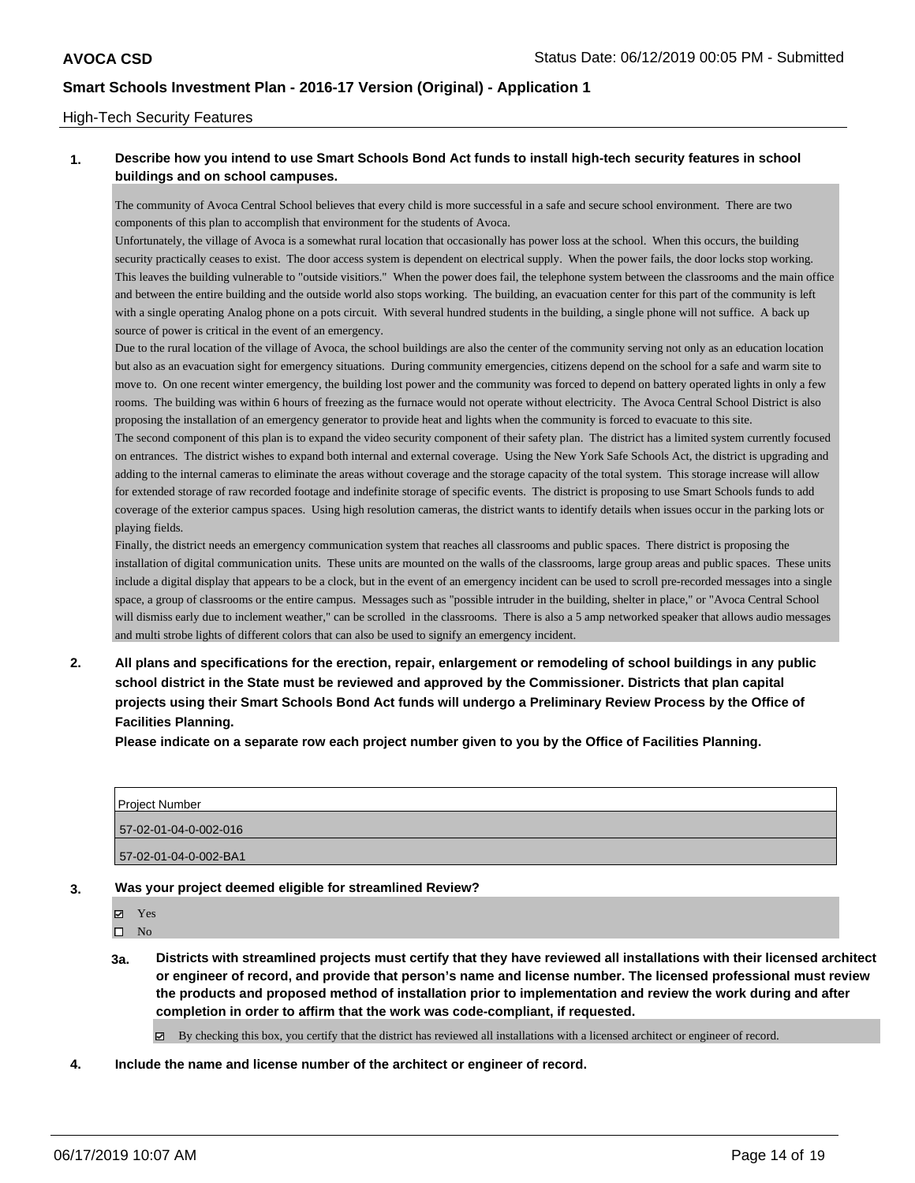## High-Tech Security Features

## **1. Describe how you intend to use Smart Schools Bond Act funds to install high-tech security features in school buildings and on school campuses.**

The community of Avoca Central School believes that every child is more successful in a safe and secure school environment. There are two components of this plan to accomplish that environment for the students of Avoca.

Unfortunately, the village of Avoca is a somewhat rural location that occasionally has power loss at the school. When this occurs, the building security practically ceases to exist. The door access system is dependent on electrical supply. When the power fails, the door locks stop working. This leaves the building vulnerable to "outside visitiors." When the power does fail, the telephone system between the classrooms and the main office and between the entire building and the outside world also stops working. The building, an evacuation center for this part of the community is left with a single operating Analog phone on a pots circuit. With several hundred students in the building, a single phone will not suffice. A back up source of power is critical in the event of an emergency.

Due to the rural location of the village of Avoca, the school buildings are also the center of the community serving not only as an education location but also as an evacuation sight for emergency situations. During community emergencies, citizens depend on the school for a safe and warm site to move to. On one recent winter emergency, the building lost power and the community was forced to depend on battery operated lights in only a few rooms. The building was within 6 hours of freezing as the furnace would not operate without electricity. The Avoca Central School District is also proposing the installation of an emergency generator to provide heat and lights when the community is forced to evacuate to this site.

The second component of this plan is to expand the video security component of their safety plan. The district has a limited system currently focused on entrances. The district wishes to expand both internal and external coverage. Using the New York Safe Schools Act, the district is upgrading and adding to the internal cameras to eliminate the areas without coverage and the storage capacity of the total system. This storage increase will allow for extended storage of raw recorded footage and indefinite storage of specific events. The district is proposing to use Smart Schools funds to add coverage of the exterior campus spaces. Using high resolution cameras, the district wants to identify details when issues occur in the parking lots or playing fields.

Finally, the district needs an emergency communication system that reaches all classrooms and public spaces. There district is proposing the installation of digital communication units. These units are mounted on the walls of the classrooms, large group areas and public spaces. These units include a digital display that appears to be a clock, but in the event of an emergency incident can be used to scroll pre-recorded messages into a single space, a group of classrooms or the entire campus. Messages such as "possible intruder in the building, shelter in place," or "Avoca Central School will dismiss early due to inclement weather," can be scrolled in the classrooms. There is also a 5 amp networked speaker that allows audio messages and multi strobe lights of different colors that can also be used to signify an emergency incident.

**2. All plans and specifications for the erection, repair, enlargement or remodeling of school buildings in any public school district in the State must be reviewed and approved by the Commissioner. Districts that plan capital projects using their Smart Schools Bond Act funds will undergo a Preliminary Review Process by the Office of Facilities Planning.** 

**Please indicate on a separate row each project number given to you by the Office of Facilities Planning.**

| Project Number        |
|-----------------------|
| 57-02-01-04-0-002-016 |
| 57-02-01-04-0-002-BA1 |

#### **3. Was your project deemed eligible for streamlined Review?**

Yes

 $\square$  No

**3a. Districts with streamlined projects must certify that they have reviewed all installations with their licensed architect or engineer of record, and provide that person's name and license number. The licensed professional must review the products and proposed method of installation prior to implementation and review the work during and after completion in order to affirm that the work was code-compliant, if requested.**

By checking this box, you certify that the district has reviewed all installations with a licensed architect or engineer of record.

**4. Include the name and license number of the architect or engineer of record.**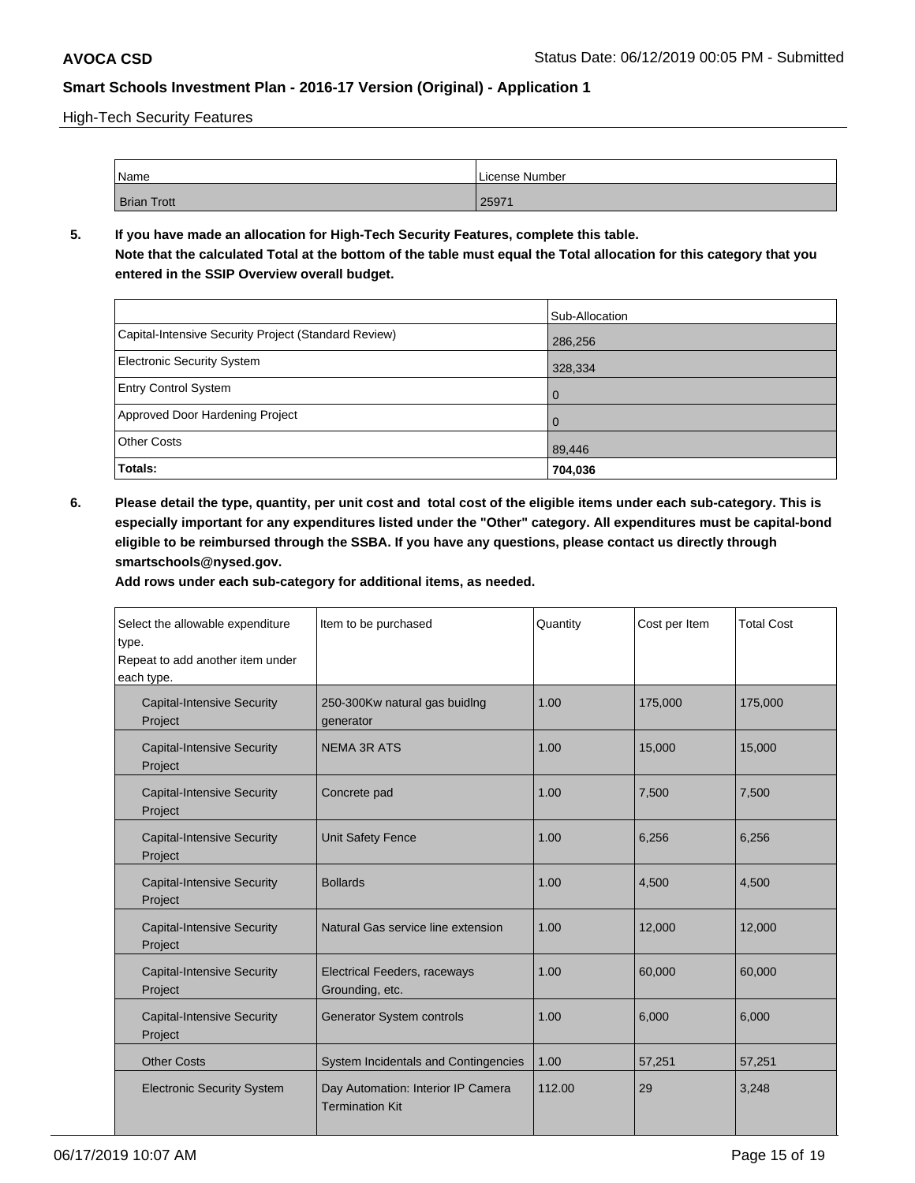High-Tech Security Features

| Name               | License Number |
|--------------------|----------------|
| <b>Brian Trott</b> | 25971          |

**5. If you have made an allocation for High-Tech Security Features, complete this table. Note that the calculated Total at the bottom of the table must equal the Total allocation for this category that you entered in the SSIP Overview overall budget.**

|                                                      | Sub-Allocation |
|------------------------------------------------------|----------------|
| Capital-Intensive Security Project (Standard Review) | 286,256        |
| <b>Electronic Security System</b>                    | 328,334        |
| <b>Entry Control System</b>                          |                |
| Approved Door Hardening Project                      | $\overline{0}$ |
| <b>Other Costs</b>                                   | 89,446         |
| Totals:                                              | 704,036        |

**6. Please detail the type, quantity, per unit cost and total cost of the eligible items under each sub-category. This is especially important for any expenditures listed under the "Other" category. All expenditures must be capital-bond eligible to be reimbursed through the SSBA. If you have any questions, please contact us directly through smartschools@nysed.gov.**

| Select the allowable expenditure<br>type.<br>Repeat to add another item under<br>each type. | Item to be purchased                                         | Quantity | Cost per Item | <b>Total Cost</b> |
|---------------------------------------------------------------------------------------------|--------------------------------------------------------------|----------|---------------|-------------------|
| <b>Capital-Intensive Security</b><br>Project                                                | 250-300Kw natural gas buiding<br>generator                   | 1.00     | 175,000       | 175,000           |
| <b>Capital-Intensive Security</b><br>Project                                                | <b>NEMA 3R ATS</b>                                           | 1.00     | 15,000        | 15,000            |
| <b>Capital-Intensive Security</b><br>Project                                                | Concrete pad                                                 | 1.00     | 7,500         | 7,500             |
| <b>Capital-Intensive Security</b><br>Project                                                | <b>Unit Safety Fence</b>                                     | 1.00     | 6,256         | 6,256             |
| <b>Capital-Intensive Security</b><br>Project                                                | <b>Bollards</b>                                              | 1.00     | 4,500         | 4,500             |
| <b>Capital-Intensive Security</b><br>Project                                                | Natural Gas service line extension                           | 1.00     | 12,000        | 12,000            |
| <b>Capital-Intensive Security</b><br>Project                                                | <b>Electrical Feeders, raceways</b><br>Grounding, etc.       | 1.00     | 60,000        | 60,000            |
| <b>Capital-Intensive Security</b><br>Project                                                | <b>Generator System controls</b>                             | 1.00     | 6.000         | 6,000             |
| <b>Other Costs</b>                                                                          | System Incidentals and Contingencies                         | 1.00     | 57,251        | 57,251            |
| <b>Electronic Security System</b>                                                           | Day Automation: Interior IP Camera<br><b>Termination Kit</b> | 112.00   | 29            | 3,248             |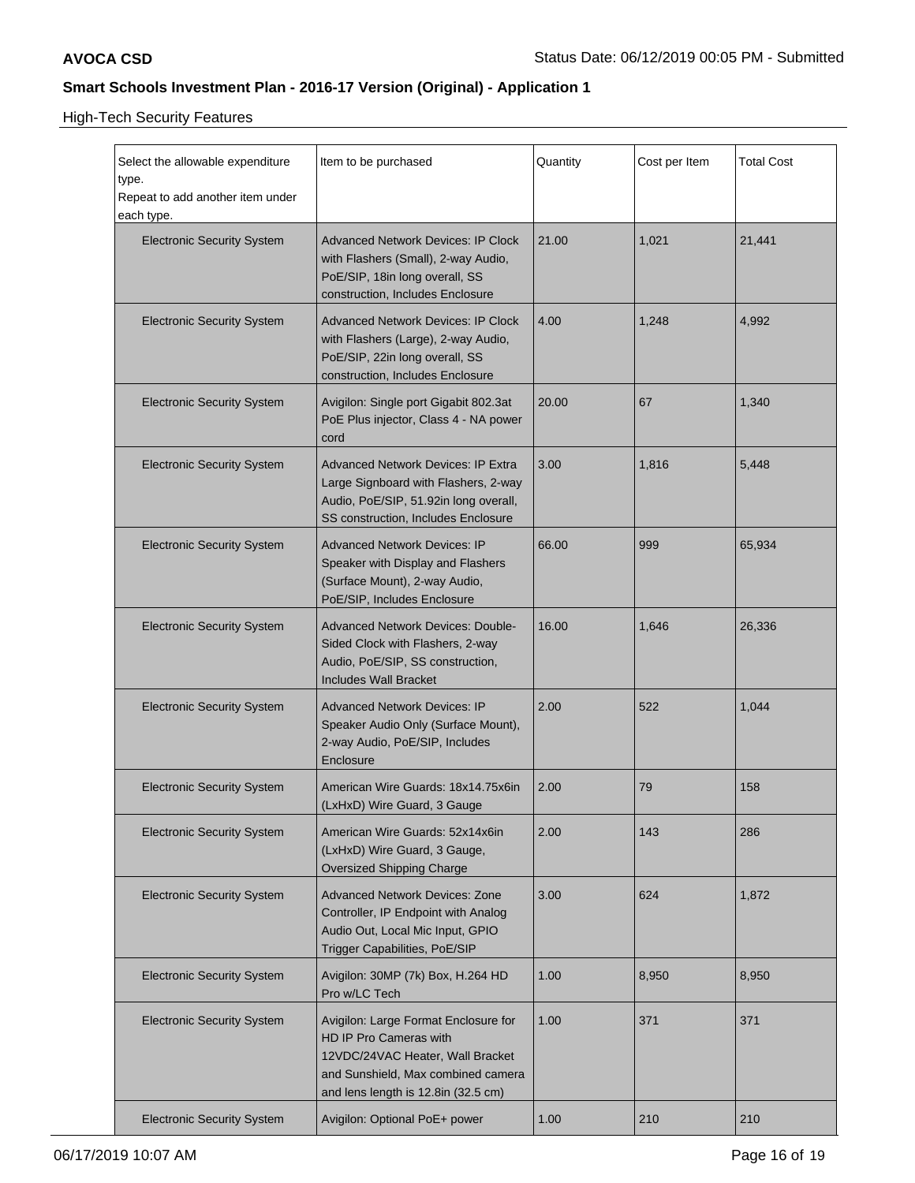High-Tech Security Features

| Select the allowable expenditure<br>type.<br>Repeat to add another item under<br>each type. | Item to be purchased                                                                                                                                                            | Quantity | Cost per Item | <b>Total Cost</b> |
|---------------------------------------------------------------------------------------------|---------------------------------------------------------------------------------------------------------------------------------------------------------------------------------|----------|---------------|-------------------|
| <b>Electronic Security System</b>                                                           | <b>Advanced Network Devices: IP Clock</b><br>with Flashers (Small), 2-way Audio,<br>PoE/SIP, 18in long overall, SS<br>construction, Includes Enclosure                          | 21.00    | 1,021         | 21,441            |
| <b>Electronic Security System</b>                                                           | <b>Advanced Network Devices: IP Clock</b><br>with Flashers (Large), 2-way Audio,<br>PoE/SIP, 22in long overall, SS<br>construction, Includes Enclosure                          | 4.00     | 1,248         | 4,992             |
| <b>Electronic Security System</b>                                                           | Avigilon: Single port Gigabit 802.3at<br>PoE Plus injector, Class 4 - NA power<br>cord                                                                                          | 20.00    | 67            | 1,340             |
| <b>Electronic Security System</b>                                                           | <b>Advanced Network Devices: IP Extra</b><br>Large Signboard with Flashers, 2-way<br>Audio, PoE/SIP, 51.92in long overall,<br>SS construction, Includes Enclosure               | 3.00     | 1,816         | 5,448             |
| <b>Electronic Security System</b>                                                           | <b>Advanced Network Devices: IP</b><br>Speaker with Display and Flashers<br>(Surface Mount), 2-way Audio,<br>PoE/SIP, Includes Enclosure                                        | 66.00    | 999           | 65,934            |
| <b>Electronic Security System</b>                                                           | <b>Advanced Network Devices: Double-</b><br>Sided Clock with Flashers, 2-way<br>Audio, PoE/SIP, SS construction,<br><b>Includes Wall Bracket</b>                                | 16.00    | 1,646         | 26,336            |
| <b>Electronic Security System</b>                                                           | <b>Advanced Network Devices: IP</b><br>Speaker Audio Only (Surface Mount),<br>2-way Audio, PoE/SIP, Includes<br>Enclosure                                                       | 2.00     | 522           | 1,044             |
| <b>Electronic Security System</b>                                                           | American Wire Guards: 18x14.75x6in<br>(LxHxD) Wire Guard, 3 Gauge                                                                                                               | 2.00     | 79            | 158               |
| <b>Electronic Security System</b>                                                           | American Wire Guards: 52x14x6in<br>(LxHxD) Wire Guard, 3 Gauge,<br>Oversized Shipping Charge                                                                                    | 2.00     | 143           | 286               |
| <b>Electronic Security System</b>                                                           | <b>Advanced Network Devices: Zone</b><br>Controller, IP Endpoint with Analog<br>Audio Out, Local Mic Input, GPIO<br>Trigger Capabilities, PoE/SIP                               | 3.00     | 624           | 1,872             |
| <b>Electronic Security System</b>                                                           | Avigilon: 30MP (7k) Box, H.264 HD<br>Pro w/LC Tech                                                                                                                              | 1.00     | 8,950         | 8,950             |
| <b>Electronic Security System</b>                                                           | Avigilon: Large Format Enclosure for<br>HD IP Pro Cameras with<br>12VDC/24VAC Heater, Wall Bracket<br>and Sunshield, Max combined camera<br>and lens length is 12.8in (32.5 cm) | 1.00     | 371           | 371               |
| <b>Electronic Security System</b>                                                           | Avigilon: Optional PoE+ power                                                                                                                                                   | 1.00     | 210           | 210               |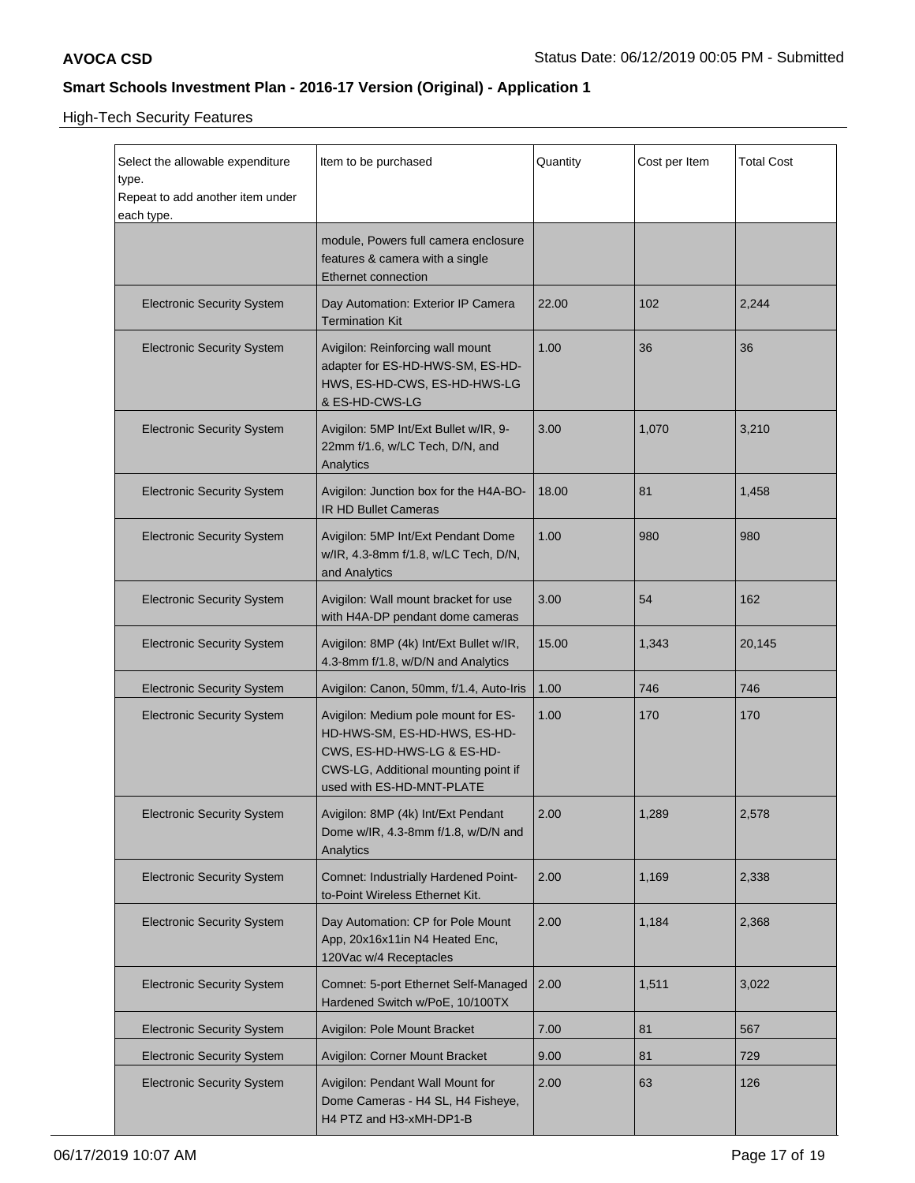High-Tech Security Features

| Select the allowable expenditure<br>type.<br>Repeat to add another item under<br>each type. | Item to be purchased                                                                                                                                                   | Quantity | Cost per Item | <b>Total Cost</b> |
|---------------------------------------------------------------------------------------------|------------------------------------------------------------------------------------------------------------------------------------------------------------------------|----------|---------------|-------------------|
|                                                                                             | module, Powers full camera enclosure<br>features & camera with a single<br><b>Ethernet connection</b>                                                                  |          |               |                   |
| <b>Electronic Security System</b>                                                           | Day Automation: Exterior IP Camera<br><b>Termination Kit</b>                                                                                                           | 22.00    | 102           | 2,244             |
| <b>Electronic Security System</b>                                                           | Avigilon: Reinforcing wall mount<br>adapter for ES-HD-HWS-SM, ES-HD-<br>HWS, ES-HD-CWS, ES-HD-HWS-LG<br>& ES-HD-CWS-LG                                                 | 1.00     | 36            | 36                |
| <b>Electronic Security System</b>                                                           | Avigilon: 5MP Int/Ext Bullet w/IR, 9-<br>22mm f/1.6, w/LC Tech, D/N, and<br>Analytics                                                                                  | 3.00     | 1,070         | 3,210             |
| <b>Electronic Security System</b>                                                           | Avigilon: Junction box for the H4A-BO-<br><b>IR HD Bullet Cameras</b>                                                                                                  | 18.00    | 81            | 1,458             |
| <b>Electronic Security System</b>                                                           | Avigilon: 5MP Int/Ext Pendant Dome<br>w/IR, 4.3-8mm f/1.8, w/LC Tech, D/N,<br>and Analytics                                                                            | 1.00     | 980           | 980               |
| <b>Electronic Security System</b>                                                           | Avigilon: Wall mount bracket for use<br>with H4A-DP pendant dome cameras                                                                                               | 3.00     | 54            | 162               |
| <b>Electronic Security System</b>                                                           | Avigilon: 8MP (4k) Int/Ext Bullet w/IR,<br>4.3-8mm f/1.8, w/D/N and Analytics                                                                                          | 15.00    | 1,343         | 20,145            |
| <b>Electronic Security System</b>                                                           | Avigilon: Canon, 50mm, f/1.4, Auto-Iris                                                                                                                                | 1.00     | 746           | 746               |
| <b>Electronic Security System</b>                                                           | Avigilon: Medium pole mount for ES-<br>HD-HWS-SM, ES-HD-HWS, ES-HD-<br>CWS, ES-HD-HWS-LG & ES-HD-<br>CWS-LG, Additional mounting point if<br>used with ES-HD-MNT-PLATE | 1.00     | 170           | 170               |
| <b>Electronic Security System</b>                                                           | Avigilon: 8MP (4k) Int/Ext Pendant<br>Dome w/IR, 4.3-8mm f/1.8, w/D/N and<br>Analytics                                                                                 | 2.00     | 1,289         | 2,578             |
| <b>Electronic Security System</b>                                                           | Comnet: Industrially Hardened Point-<br>to-Point Wireless Ethernet Kit.                                                                                                | 2.00     | 1,169         | 2,338             |
| <b>Electronic Security System</b>                                                           | Day Automation: CP for Pole Mount<br>App, 20x16x11in N4 Heated Enc,<br>120Vac w/4 Receptacles                                                                          | 2.00     | 1,184         | 2,368             |
| <b>Electronic Security System</b>                                                           | Comnet: 5-port Ethernet Self-Managed<br>Hardened Switch w/PoE, 10/100TX                                                                                                | 2.00     | 1,511         | 3,022             |
| <b>Electronic Security System</b>                                                           | Avigilon: Pole Mount Bracket                                                                                                                                           | 7.00     | 81            | 567               |
| <b>Electronic Security System</b>                                                           | Avigilon: Corner Mount Bracket                                                                                                                                         | 9.00     | 81            | 729               |
| <b>Electronic Security System</b>                                                           | Avigilon: Pendant Wall Mount for<br>Dome Cameras - H4 SL, H4 Fisheye,<br>H4 PTZ and H3-xMH-DP1-B                                                                       | 2.00     | 63            | 126               |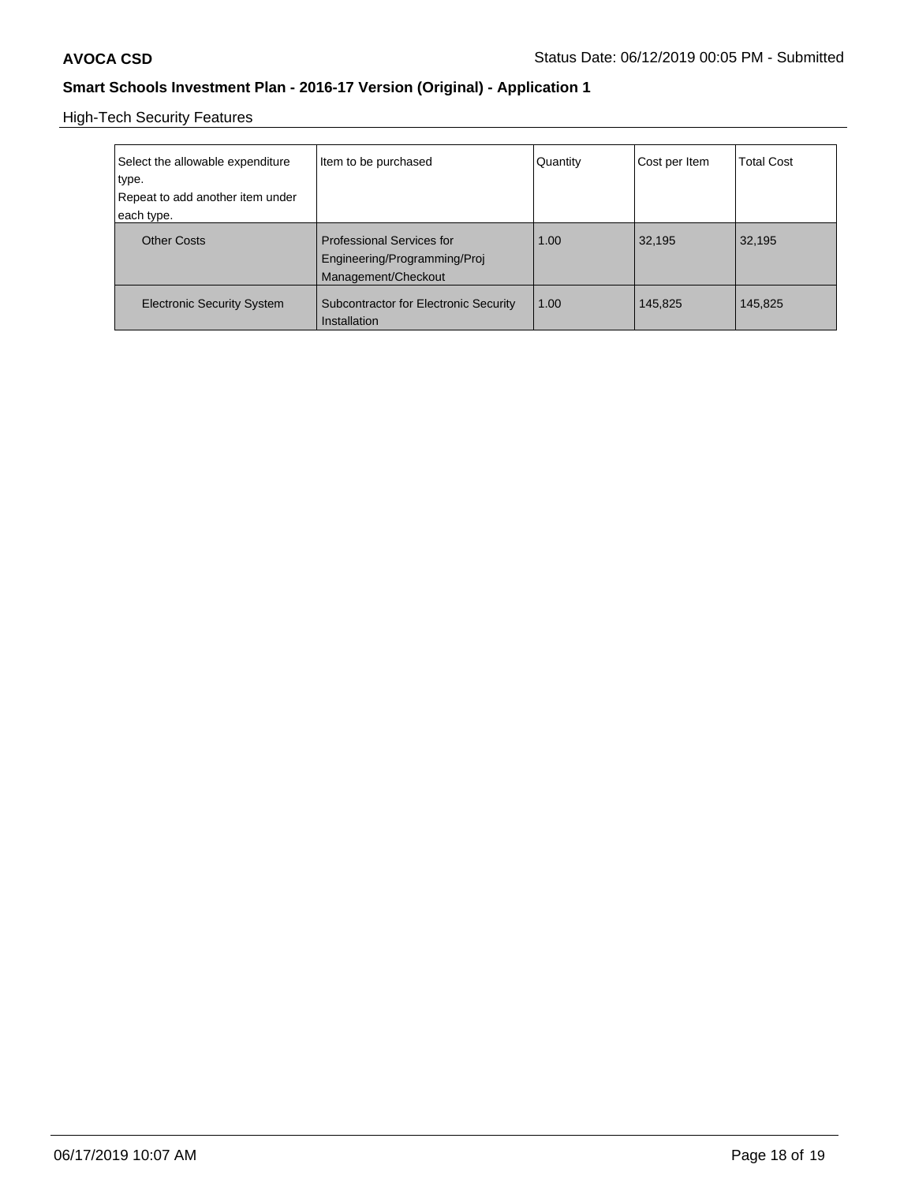High-Tech Security Features

| Select the allowable expenditure<br>type.<br>Repeat to add another item under<br>each type. | Item to be purchased                                                                    | Quantity | Cost per Item | Total Cost |
|---------------------------------------------------------------------------------------------|-----------------------------------------------------------------------------------------|----------|---------------|------------|
| <b>Other Costs</b>                                                                          | <b>Professional Services for</b><br>Engineering/Programming/Proj<br>Management/Checkout | 1.00     | 32.195        | 32,195     |
| <b>Electronic Security System</b>                                                           | <b>Subcontractor for Electronic Security</b><br>Installation                            | 1.00     | 145,825       | 145,825    |